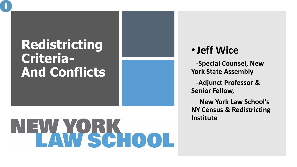### **Redistricting Criteria - And Conflicts**

# EWYCRK OOL

#### •**Jeff Wice**

**-Special Counsel, New York State Assembly**

**-Adjunct Professor & Senior Fellow,** 

**New York Law School's NY Census & Redistricting Institute**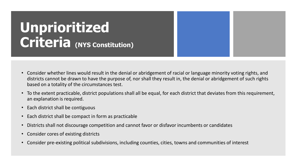# **Unprioritized Criteria (NYS Constitution)**

- Consider whether lines would result in the denial or abridgement of racial or language minority voting rights, and districts cannot be drawn to have the purpose of, nor shall they result in, the denial or abridgement of such rights based on a totality of the circumstances test.
- To the extent practicable, district populations shall all be equal, for each district that deviates from this requirement, an explanation is required.
- Each district shall be contiguous
- Each district shall be compact in form as practicable
- Districts shall not discourage competition and cannot favor or disfavor incumbents or candidates
- Consider cores of existing districts
- Consider pre-existing political subdivisions, including counties, cities, towns and communities of interest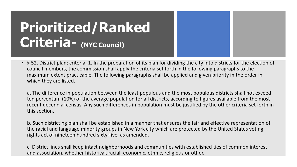# **Prioritized/Ranked**  Criteria- (NYC Council)

• § 52. District plan; criteria. 1. In the preparation of its plan for dividing the city into districts for the election of council members, the commission shall apply the criteria set forth in the following paragraphs to the maximum extent practicable. The following paragraphs shall be applied and given priority in the order in which they are listed.

a. The difference in population between the least populous and the most populous districts shall not exceed ten percentum (10%) of the average population for all districts, according to figures available from the most recent decennial census. Any such differences in population must be justified by the other criteria set forth in this section.

b. Such districting plan shall be established in a manner that ensures the fair and effective representation of the racial and language minority groups in New York city which are protected by the United States voting rights act of nineteen hundred sixty-five, as amended.

c. District lines shall keep intact neighborhoods and communities with established ties of common interest and association, whether historical, racial, economic, ethnic, religious or other.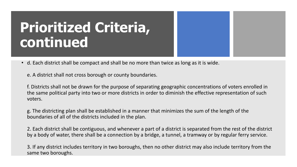# **Prioritized Criteria, continued**

• d. Each district shall be compact and shall be no more than twice as long as it is wide.

e. A district shall not cross borough or county boundaries.

f. Districts shall not be drawn for the purpose of separating geographic concentrations of voters enrolled in the same political party into two or more districts in order to diminish the effective representation of such voters.

g. The districting plan shall be established in a manner that minimizes the sum of the length of the boundaries of all of the districts included in the plan.

2. Each district shall be contiguous, and whenever a part of a district is separated from the rest of the district by a body of water, there shall be a connection by a bridge, a tunnel, a tramway or by regular ferry service.

3. If any district includes territory in two boroughs, then no other district may also include territory from the same two boroughs.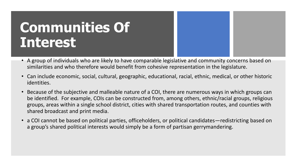# **Communities Of Interest**

- A group of individuals who are likely to have comparable legislative and community concerns based on similarities and who therefore would benefit from cohesive representation in the legislature.
- Can include economic, social, cultural, geographic, educational, racial, ethnic, medical, or other historic identities.
- Because of the subjective and malleable nature of a COI, there are numerous ways in which groups can be identified. For example, COIs can be constructed from, among others, ethnic/racial groups, religious groups, areas within a single school district, cities with shared transportation routes, and counties with shared broadcast and print media.
- a COI cannot be based on political parties, officeholders, or political candidates—redistricting based on a group's shared political interests would simply be a form of partisan gerrymandering.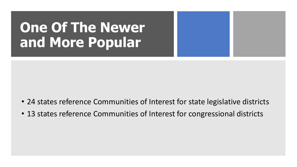# **One Of The Newer and More Popular**

- 24 states reference Communities of Interest for state legislative districts
- 13 states reference Communities of Interest for congressional districts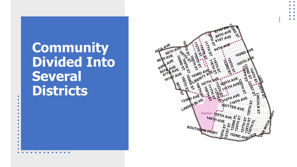# **Community Divided Into Several Districts**

 $\bullet$  $\bullet$  $\bullet$  $\bullet$  $\bullet$ 

 $\bullet$  $\bullet$ 

 $\bullet$ 

 $\bullet$  $\bullet$ 

 $\bullet$ 

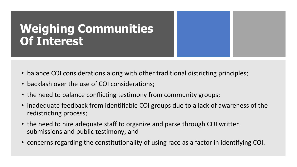#### **Weighing Communities Of Interest**

- balance COI considerations along with other traditional districting principles;
- backlash over the use of COI considerations;
- the need to balance conflicting testimony from community groups;
- inadequate feedback from identifiable COI groups due to a lack of awareness of the redistricting process;
- the need to hire adequate staff to organize and parse through COI written submissions and public testimony; and
- concerns regarding the constitutionality of using race as a factor in identifying COI.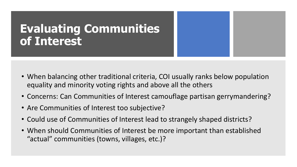#### **Evaluating Communities of Interest**

- When balancing other traditional criteria, COI usually ranks below population equality and minority voting rights and above all the others
- Concerns: Can Communities of Interest camouflage partisan gerrymandering?
- Are Communities of Interest too subjective?
- Could use of Communities of Interest lead to strangely shaped districts?
- When should Communities of Interest be more important than established "actual" communities (towns, villages, etc.)?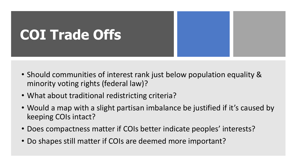# **COI Trade Offs**

- Should communities of interest rank just below population equality & minority voting rights (federal law)?
- What about traditional redistricting criteria?
- Would a map with a slight partisan imbalance be justified if it's caused by keeping COIs intact?
- Does compactness matter if COIs better indicate peoples' interests?
- Do shapes still matter if COIs are deemed more important?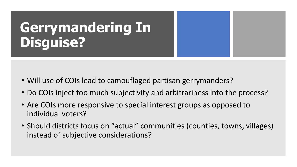# **Gerrymandering In Disguise?**

- Will use of COIs lead to camouflaged partisan gerrymanders?
- Do COIs inject too much subjectivity and arbitrariness into the process?
- Are COIs more responsive to special interest groups as opposed to individual voters?
- Should districts focus on "actual" communities (counties, towns, villages) instead of subjective considerations?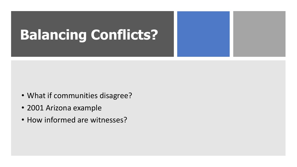# **Balancing Conflicts?**

- What if communities disagree?
- 2001 Arizona example
- How informed are witnesses?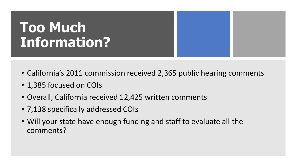# **Too Much Information?**

- California's 2011 commission received 2,365 public hearing comments
- 1,385 focused on COIs
- Overall, California received 12,425 written comments
- 7,138 specifically addressed COIs
- Will your state have enough funding and staff to evaluate all the comments?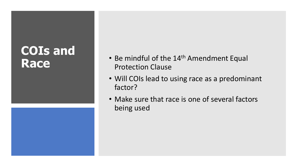# **COIs and**



- Be mindful of the 14<sup>th</sup> Amendment Equal<br>Protection Clause Protection Clause
	- Will COIs lead to using race as a predominant factor?
	- Make sure that race is one of several factors being used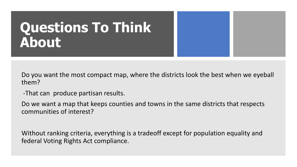# **Questions To Think About**

Do you want the most compact map, where the districts look the best when we eyeball them?

-That can produce partisan results.

Do we want a map that keeps counties and towns in the same districts that respects communities of interest?

Without ranking criteria, everything is a tradeoff except for population equality and federal Voting Rights Act compliance.